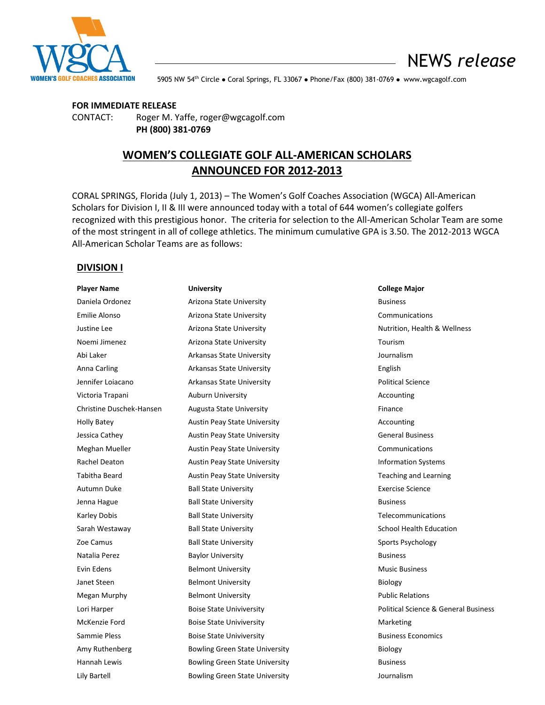

NEWS *release*

**NOMEN'S GOLF COACHES ASSOCIATION** 5905 NW 54<sup>th</sup> Circle ● Coral Springs, FL 33067 ● Phone/Fax (800) 381-0769 ● www.wgcagolf.com

#### **FOR IMMEDIATE RELEASE**

CONTACT: Roger M. Yaffe, roger@wgcagolf.com **PH (800) 381-0769**

# **WOMEN'S COLLEGIATE GOLF ALL-AMERICAN SCHOLARS ANNOUNCED FOR 2012-2013**

CORAL SPRINGS, Florida (July 1, 2013) – The Women's Golf Coaches Association (WGCA) All-American Scholars for Division I, II & III were announced today with a total of 644 women's collegiate golfers recognized with this prestigious honor. The criteria for selection to the All-American Scholar Team are some of the most stringent in all of college athletics. The minimum cumulative GPA is 3.50. The 2012-2013 WGCA All-American Scholar Teams are as follows:

## **DIVISION I**

| <b>Player Name</b>       | <b>University</b>                     | <b>College Major</b>     |
|--------------------------|---------------------------------------|--------------------------|
| Daniela Ordonez          | Arizona State University              | <b>Business</b>          |
| <b>Emilie Alonso</b>     | Arizona State University              | Communication            |
| Justine Lee              | Arizona State University              | Nutrition, Healt         |
| Noemi Jimenez            | Arizona State University              | Tourism                  |
| Abi Laker                | <b>Arkansas State University</b>      | Journalism               |
| Anna Carling             | <b>Arkansas State University</b>      | English                  |
| Jennifer Loiacano        | <b>Arkansas State University</b>      | <b>Political Science</b> |
| Victoria Trapani         | <b>Auburn University</b>              | Accounting               |
| Christine Duschek-Hansen | <b>Augusta State University</b>       | Finance                  |
| <b>Holly Batey</b>       | <b>Austin Peay State University</b>   | Accounting               |
| Jessica Cathey           | <b>Austin Peay State University</b>   | <b>General Busines</b>   |
| Meghan Mueller           | <b>Austin Peay State University</b>   | Communication            |
| Rachel Deaton            | <b>Austin Peay State University</b>   | <b>Information Sys</b>   |
| <b>Tabitha Beard</b>     | <b>Austin Peay State University</b>   | Teaching and Le          |
| Autumn Duke              | <b>Ball State University</b>          | <b>Exercise Science</b>  |
| Jenna Hague              | <b>Ball State University</b>          | <b>Business</b>          |
| <b>Karley Dobis</b>      | <b>Ball State University</b>          | Telecommunica            |
| Sarah Westaway           | <b>Ball State University</b>          | School Health E          |
| Zoe Camus                | <b>Ball State University</b>          | Sports Psycholo          |
| Natalia Perez            | <b>Baylor University</b>              | <b>Business</b>          |
| Evin Edens               | <b>Belmont University</b>             | <b>Music Business</b>    |
| Janet Steen              | <b>Belmont University</b>             | Biology                  |
| Megan Murphy             | <b>Belmont University</b>             | <b>Public Relations</b>  |
| Lori Harper              | <b>Boise State Univiversity</b>       | <b>Political Science</b> |
| McKenzie Ford            | <b>Boise State Univiversity</b>       | Marketing                |
| Sammie Pless             | <b>Boise State Univiversity</b>       | <b>Business Econor</b>   |
| Amy Ruthenberg           | <b>Bowling Green State University</b> | Biology                  |
| Hannah Lewis             | <b>Bowling Green State University</b> | <b>Business</b>          |
| Lily Bartell             | <b>Bowling Green State University</b> | Journalism               |

**College Major** Communications Nutrition, Health & Wellness Political Science **Accounting** General Business Communications **Information Systems** Teaching and Learning Exercise Science **Telecommunications** School Health Education Sports Psychology **Music Business** Political Science & General Business **Business Economics**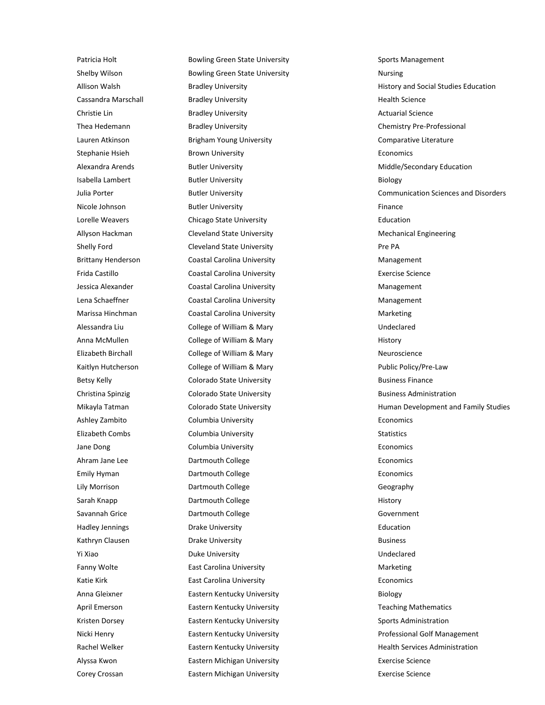Patricia Holt **Bowling Green State University** Sports Management Shelby Wilson **Bowling Green State University** Mursing Nursing Cassandra Marschall Bradley University Health Science Christie Lin **Bradley University Actuarial Science Actuarial Science Actuarial Science** Thea Hedemann **Bradley University** Chemistry Pre-Professional Lauren Atkinson **Brigham Young University** Comparative Literature Comparative Literature Stephanie Hsieh Brown University **Economics** Economics Alexandra Arends **Butler University** Middle/Secondary Education **Middle**/Secondary Education Isabella Lambert **Butler University** Biology Biology Nicole Johnson **Butler University Example 2018** Finance Lorelle Weavers Chicago State University Education Allyson Hackman **Mechanical Engineering** Cleveland State University **Mechanical Engineering** Shelly Ford **Cleveland State University Pre PA** Brittany Henderson **Coastal Carolina University** Management Management Frida Castillo Coastal Carolina University Exercise Science Jessica Alexander **Coastal Carolina University** Management Management Lena Schaeffner **Coastal Carolina University** Management Management Marissa Hinchman Coastal Carolina University **Marketing** Marketing Alessandra Liu College of William & Mary Undeclared Anna McMullen **College of William & Mary College of William & Mary** History Elizabeth Birchall **College of William & Mary Neuroscience** Neuroscience Kaitlyn Hutcherson **College of William & Mary Public Policy/Pre-Law** Public Policy/Pre-Law Betsy Kelly **Colorado State University Business Finance** Business Finance Christina Spinzig Colorado State University **Business Administration** Business Administration Ashley Zambito **Columbia University Columbia University Economics** Elizabeth Combs Columbia University **Statistics** Statistics Jane Dong **Columbia University Columbia University Economics** Ahram Jane Lee **Economics** Dartmouth College **Economics** Economics Emily Hyman **Example 20** Dartmouth College **Example 20 Dartmouth College Economics** Lily Morrison **Dartmouth College** Contained Business Ceography Sarah Knapp **Dartmouth College History History** Savannah Grice Dartmouth College Government Hadley Jennings **Education Drake University Education Education** Kathryn Clausen **Business Drake University Business Business** Yi Xiao **Duke University Example 2018** Undeclared Fanny Wolte **East Carolina University** Marketing Marketing Katie Kirk **East Carolina University Example 2018** Economics **Economics** Anna Gleixner **Eastern Kentucky University Eastern Kentucky University Eastern Kentucky University** April Emerson **Eastern Kentucky University** Teaching Mathematics **Teaching Mathematics** Kristen Dorsey **Eastern Kentucky University** Sports Administration Sports Administration Alyssa Kwon Eastern Michigan University Exercise Science Corey Crossan Eastern Michigan University Exercise Science

Allison Walsh **Bradley University Bradley University Bradley Education** History and Social Studies Education Julia Porter Butler University Communication Sciences and Disorders Mikayla Tatman **Mikayla Tatman Colorado State University** Human Development and Family Studies Nicki Henry **Eastern Kentucky University Eastern Kentucky University Professional Golf Management** Rachel Welker **Eastern Kentucky University** Health Services Administration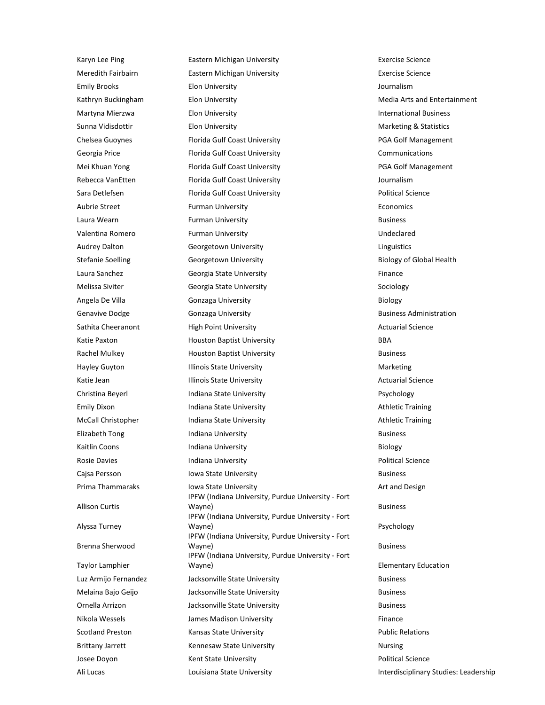Karyn Lee Ping **Eastern Michigan University Exercise Science** Exercise Science Meredith Fairbairn Eastern Michigan University Exercise Science Emily Brooks Elon University Journalism Kathryn Buckingham Elon University **Media Arts and Entertainment** Media Arts and Entertainment Martyna Mierzwa Elon University International Business Sunna Vidisdottir **Elon University** Marketing & Statistics Marketing & Statistics Chelsea Guoynes Florida Gulf Coast University PGA Golf Management Georgia Price **Florida Gulf Coast University** Communications Communications Mei Khuan Yong **Florida Gulf Coast University Fig. 1966** PGA Golf Management Rebecca VanEtten **Florida Gulf Coast University Florida Gulf Coast University Journalism** Sara Detlefsen **Florida Gulf Coast University Figure 2016** Political Science Aubrie Street Furman University **Furman University** Economics Laura Wearn **Example 2018** Furman University **Business** Business Valentina Romero Furman University Undeclared Audrey Dalton **Georgetown University Conserversity** Linguistics Stefanie Soelling **Georgetown University Biology of Global Health** Biology of Global Health Laura Sanchez **Finance** Georgia State University **Finance** Melissa Siviter **State Georgia State University** Sociology Sociology Angela De Villa **Biology Gonzaga University Biology Biology** Genavive Dodge **Gonzaga University Gonzaga University Business Administration** Sathita Cheeranont **High Point University** Actuarial Science **Actuarial Science Actuarial Science** Katie Paxton **Back Band Baptist University BBA** Rachel Mulkey **Houston Baptist University Business** Business Hayley Guyton **Illinois State University** Marketing Marketing Katie Jean **Illinois State University Actuarial Science** Actuarial Science Christina Beyerl **Indiana State University Psychology** Emily Dixon **Indiana State University Athletic Training Athletic Training** McCall Christopher **Indiana State University** Athletic Training Elizabeth Tong **Indiana University** Business **Business** Kaitlin Coons **Indiana University Biology** Biology Rosie Davies **Indiana University Political Science Political Science** Cajsa Persson **Iowa State University Business** Business Prima Thammaraks Iowa State University **Art and Design** Art and Design Allison Curtis IPFW (Indiana University, Purdue University - Fort Wayne) **Business Business** Alyssa Turney IPFW (Indiana University, Purdue University - Fort Wayne) **Wayne** Psychology Brenna Sherwood IPFW (Indiana University, Purdue University - Fort Wayne) **Business** Taylor Lamphier IPFW (Indiana University, Purdue University - Fort Wayne) Elementary Education Luz Armijo Fernandez Jacksonville State University Business Melaina Bajo Geijo **Business** Jacksonville State University **Business** Business Ornella Arrizon **Disk Arrizon** Jacksonville State University **Business** Business Nikola Wessels James Madison University Finance Scotland Preston **Example 20 Intervalsas State University** Contract Public Relations Public Relations Brittany Jarrett **Kennesaw State University Nursing** Nursing Josee Doyon **Example 2** Kent State University **Contained Accord Political Science** Ali Lucas **Louisiana State University Interdisciplinary Studies: Leadership Interdisciplinary Studies: Leadership**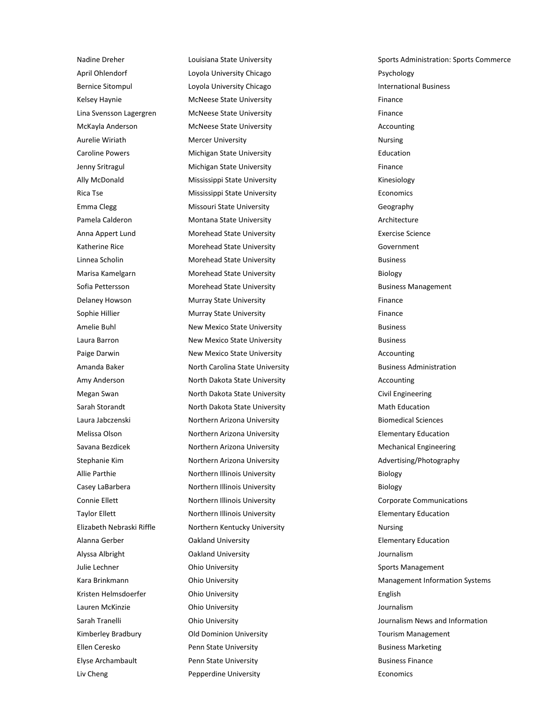April Ohlendorf **Loyola University Chicago** Psychology **Provident Chicago** Psychology Bernice Sitompul **International Business** Loyola University Chicago **International Business** International Business Kelsey Haynie **McNeese State University Finance Finance** Lina Svensson Lagergren McNeese State University Finance McKayla Anderson McNeese State University Accounting Aurelie Wiriath **Mercer University** Nursing Nursing Nursing Caroline Powers Michigan State University Education Jenny Sritragul **Finance Michigan State University** Finance **Finance** Ally McDonald **Mississippi State University** Missimi Bully McDonald Kinesiology Rica Tse **Mississippi State University Economics** Economics Emma Clegg **Missouri State University** Chamber of Geography Pamela Calderon **Montana State University Manufacture** Architecture Anna Appert Lund **Morehead State University Exercise Science** Exercise Science Katherine Rice **Morehead State University** Government Linnea Scholin Morehead State University Business Marisa Kamelgarn **Morehead State University Biology** Biology Sofia Pettersson **Morehead State University Business Management** Business Management Delaney Howson **Murray State University Finance Finance** Sophie Hillier **Murray State University Finance** Finance Amelie Buhl **New Mexico State University Business** Business Laura Barron **New Mexico State University Constructs** Business **Business** Paige Darwin **New Mexico State University** Accounting Accounting Amanda Baker **North Carolina State University Business Administration Business Administration** Amy Anderson **North Dakota State University** Accounting Accounting Megan Swan North Dakota State University Civil Engineering Sarah Storandt **North Dakota State University** Math Education Laura Jabczenski Northern Arizona University Biomedical Sciences Melissa Olson **Northern Arizona University Elementary Education** Elementary Education Savana Bezdicek **Northern Arizona University** Mechanical Engineering Stephanie Kim **Northern Arizona University** Advertising/Photography Allie Parthie **Northern Illinois University Allie Parthie Biology** Biology Casey LaBarbera **Northern Illinois University Biology** Biology Connie Ellett **Northern Illinois University** Corporate Communications Taylor Ellett **Northern Illinois University Elementary Education** Elementary Education Elizabeth Nebraski Riffle Northern Kentucky University Nursing Nursing Alanna Gerber Oakland University Elementary Education Alyssa Albright Oakland University Journalism Julie Lechner **Sports Management** Ohio University **Sports Management** Sports Management Kristen Helmsdoerfer **Ohio University Channel English** English Lauren McKinzie Ohio University Journalism Kimberley Bradbury **Comminism Comminism University** Tourism Management Ellen Ceresko Penn State University Business Marketing Elyse Archambault Penn State University Business Finance

Nadine Dreher **Louisiana State University** Sports Administration: Sports Commerce Kara Brinkmann **Management Information Systems** Chio University **Management Information Systems** Management Information Systems Sarah Tranelli **Sarah Tranelli** Chio University **Journalism News and Information** Liv Cheng **Pepperdine University Permitted Economics Economics**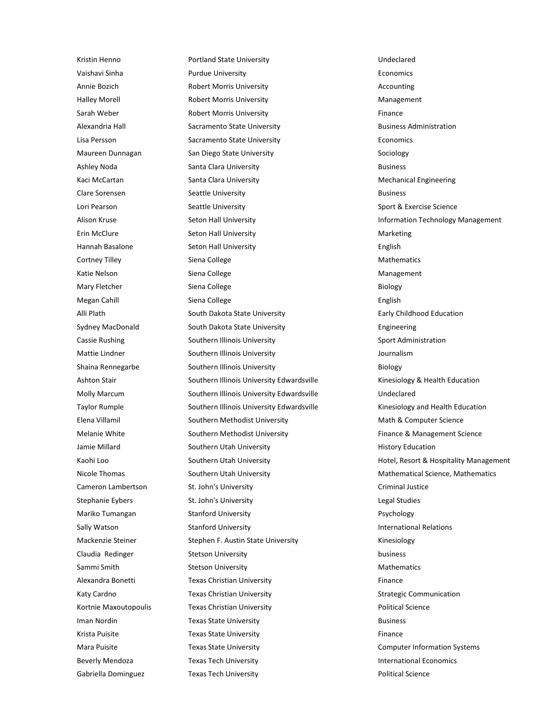Kristin Henno **National State University** Christian Manuel Bundeclared Vaishavi Sinha Purdue University Economics Annie Bozich **Robert Morris University** Accounting Accounting Halley Morell **Robert Morris University** Management Sarah Weber **Robert Morris University Finance** Finance Alexandria Hall **Sacramento State University Business Administration** Business Administration Lisa Persson **Sacramento State University Economics** Economics Maureen Dunnagan San Diego State University Sociology Sociology Ashley Noda **Santa Clara University Business** Business Kaci McCartan **Mechanical Engineering** Santa Clara University **Mechanical Engineering** Clare Sorensen Seattle University Business Lori Pearson Seattle University Sport & Exercise Science Science Erin McClure Seton Hall University Marketing Marketing Hannah Basalone Seton Hall University English Cortney Tilley **Siena College Mathematics** Mathematics **Mathematics** Mathematics Katie Nelson **Siena College** Management Management Mary Fletcher **Siena College** Biology **Biology** Biology Megan Cahill Siena College English English Alli Plath South Dakota State University **Early Childhood Education** Childhood Education Sydney MacDonald South Dakota State University **Engineering** Engineering Cassie Rushing Southern Illinois University Sport Administration Sport Administration Mattie Lindner Southern Illinois University Journalism Shaina Rennegarbe Southern Illinois University **Biology** Biology Ashton Stair Southern Illinois University Edwardsville Kinesiology & Health Education Molly Marcum Southern Illinois University Edwardsville Undeclared Taylor Rumple Southern Illinois University Edwardsville Kinesiology and Health Education Elena Villamil **Southern Methodist University** Math & Computer Science Methodist University Melanie White Southern Methodist University Finance & Management Science Methodist University Jamie Millard **Southern Utah University Millard** History Education Cameron Lambertson St. John's University Criminal Justice Criminal Justice Stephanie Eybers St. John's University Channel St. John's University Channel St. John's University Channel St. John's University Channel St. John St. John's University Channel St. John St. John St. John St. John St. John S Mariko Tumangan **Stanford University Participal Stanford University P**sychology Sally Watson **Stanford University International Relations Stanford University International Relations** Mackenzie Steiner Stephen F. Austin State University Stephen F. Austin State University Claudia Redinger **Stetson University Stetson University business** Sammi Smith Stetson University **Stetson University** Mathematics Alexandra Bonetti **Texas Christian University** Finance Katy Cardno **Texas Christian University** Strategic Communication Christian University Kortnie Maxoutopoulis **Texas Christian University Political Science** Political Science Iman Nordin **Iman Nordin Texas State University Business** Business Krista Puisite **Texas State University Texas State University Finance** Mara Puisite **Texas State University** Computer Information Systems Beverly Mendoza **Texas Tech University International Economics International Economics** 

Alison Kruse **Seton Hall University Information Technology Management Information Technology Management** Kaohi Loo Southern Utah University Hotel, Resort & Hospitality Management Nicole Thomas Southern Utah University Mathematical Science, Mathematics Mathematics Gabriella Dominguez **Texas Tech University Political Science** Political Science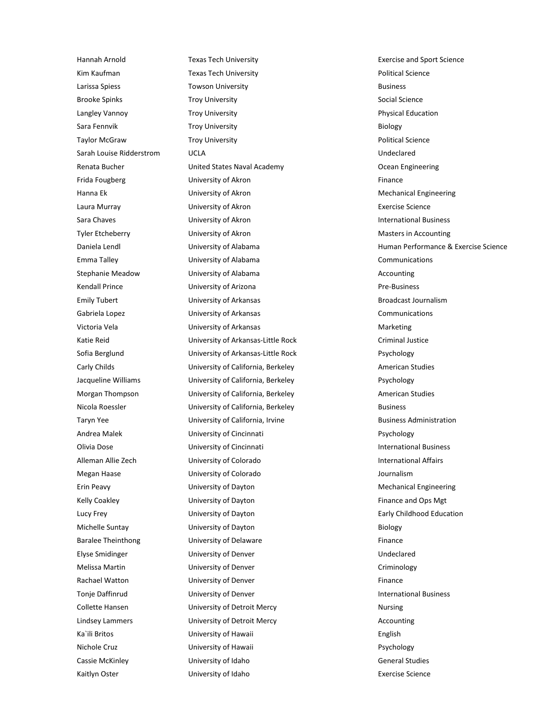Hannah Arnold Texas Tech University Exercise and Sport Science Kim Kaufman **Texas Tech University Texas Tech University Political Science** Larissa Spiess **Towson University Container System** Business **Business** Brooke Spinks **Troy University** Social Science Social Science Langley Vannoy **Troy University Physical Education** Sara Fennvik **Troy University** Biology **Biology** Taylor McGraw **Troy University Troy Political Science** Sarah Louise Ridderstrom UCLA Undeclared Renata Bucher **Canadia Bucher United States Naval Academy** Collection and Decean Engineering Frida Fougberg **Example 20** University of Akron Finance **Finance** Finance Hanna Ek **National Example 2018** University of Akron Mechanical Engineering Mechanical Engineering Laura Murray University of Akron Exercise Science Sara Chaves **International Business** University of Akron **International Business** International Business Tyler Etcheberry **State Communists** University of Akron Masters in Accounting Masters in Accounting Emma Talley University of Alabama Communications Stephanie Meadow **Markow** University of Alabama **Accounting** Accounting Kendall Prince **Contact University of Arizona** Pre-Business **Pre-Business** Emily Tubert **Emily Tubert** University of Arkansas **Broadcast Journalism** Broadcast Journalism Gabriela Lopez **Communications** University of Arkansas **Communications** Communications Victoria Vela **Marketing** University of Arkansas **Marketing** Marketing Katie Reid **Exercise Criminal Justice** University of Arkansas-Little Rock **Criminal Justice** Criminal Justice Sofia Berglund University of Arkansas-Little Rock Psychology Carly Childs **Example 20 University of California, Berkeley American Studies** American Studies Jacqueline Williams **University of California, Berkeley Communist Communist Communist** Psychology Morgan Thompson **Example 20 University of California, Berkeley Company** American Studies Nicola Roessler **Nicola Roessler** University of California, Berkeley **Business** Business Taryn Yee **Starting Contact Control** University of California, Irvine **Business Administration** Andrea Malek **No. 2. Information** University of Cincinnati **Properties Andrea Malek** Psychology Olivia Dose **International Business** University of Cincinnati **International Business** International Business Alleman Allie Zech **University of Colorado International Affairs International Affairs** Megan Haase University of Colorado Journalism Erin Peavy University of Dayton Mechanical Engineering Kelly Coakley **Example 20 University of Dayton** Finance and Ops Mgt **Finance and Ops Mgt** Lucy Frey **Early Childhood Education** University of Dayton **Early Childhood Education** Michelle Suntay **State Of Dayton Biology** University of Dayton Biology Biology Baralee Theinthong **Example 20** University of Delaware **Finance** Finance Elyse Smidinger University of Denver Undeclared Melissa Martin **Calculation Criminology** University of Denver Criminology Criminology Rachael Watton **Example 20** University of Denver Finance Finance Tonje Daffinrud **International Business** University of Denver **International Business** Collette Hansen **Collette Hansen** University of Detroit Mercy **Nursing** Nursing Lindsey Lammers **Accounting** University of Detroit Mercy **Accounting** Accounting Ka`ili Britos **English** University of Hawaii **English** English Nichole Cruz **Example 2** University of Hawaii **Psychology** Psychology Cassie McKinley **Cassie McKinley** University of Idaho **General Studies** General Studies Kaitlyn Oster **Exercise** Science University of Idaho **Exercise** Science Exercise Science

Daniela Lendl **Exercise Science** University of Alabama **Human Performance & Exercise Science** Communication University of Alabama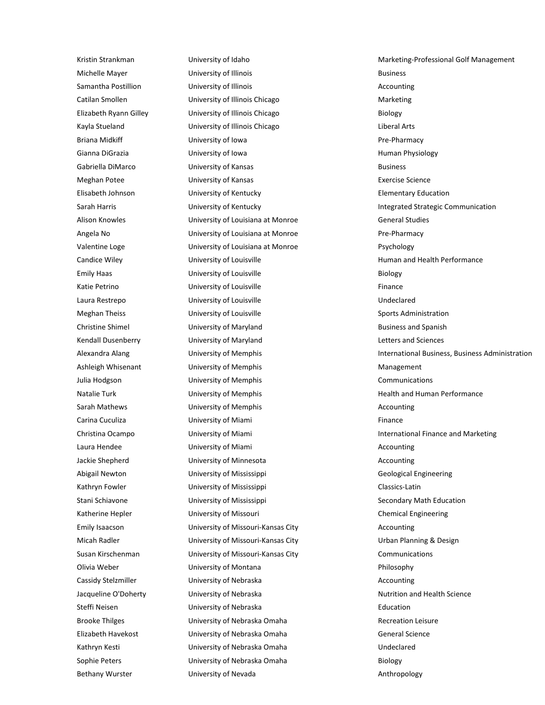Michelle Mayer **State Communist Controller University of Illinois** Business Business Samantha Postillion **Contract University of Illinois** Communisties and Accounting Catilan Smollen **Catilan Smollen** University of Illinois Chicago **Marketing** Elizabeth Ryann Gilley University of Illinois Chicago Biology Kayla Stueland **Liberal Arts** University of Illinois Chicago **Liberal Arts** Liberal Arts Briana Midkiff **Example 20** University of Iowa **Pre-Pharmacy** Pre-Pharmacy Gianna DiGrazia **Exercicia Contract Contract University of Iowa** Human Physiology **Human Physiology** Gabriella DiMarco **Business** University of Kansas **Business** Business Meghan Potee University of Kansas Exercise Science Elisabeth Johnson University of Kentucky Elementary Education Alison Knowles **Example 2** University of Louisiana at Monroe **General Studies** General Studies Angela No **Angela No Constructs** University of Louisiana at Monroe **Pre-Pharmacy** Pre-Pharmacy Valentine Loge University of Louisiana at Monroe Psychology Candice Wiley **Example 20** University of Louisville **Human and Health Performance Human and Health Performance** Emily Haas **Emily Haas** Biology **University of Louisville** Biology **Biology** Katie Petrino **Example 20 University of Louisville** Finance Finance Laura Restrepo University of Louisville Undeclared Meghan Theiss **Sports Administration** University of Louisville Sports Administration Christine Shimel **Example 20** University of Maryland Business and Spanish Business and Spanish Kendall Dusenberry **Letters and Sciences** University of Maryland **Letters and Sciences** Letters and Sciences Ashleigh Whisenant **Management** University of Memphis Management Management Julia Hodgson University of Memphis Communications Natalie Turk **International University of Memphis** Members And Health and Human Performance Sarah Mathews **Community of Memphis** Community of Memphis Accounting Carina Cuculiza **Carina Cuculiza** University of Miami **Finance Finance** Laura Hendee University of Miami Accounting Jackie Shepherd University of Minnesota Accounting Abigail Newton **Contains University of Mississippi** Contains a Geological Engineering Kathryn Fowler **Classics-Latin** University of Mississippi Classics-Latin Classics-Latin Stani Schiavone **Stani Schiavone** University of Mississippi Secondary Math Education Katherine Hepler **Chemical Engineering** University of Missouri Chemical Engineering Emily Isaacson University of Missouri-Kansas City Accounting Micah Radler **Nicah Radler** University of Missouri-Kansas City **Urban Planning & Design** Susan Kirschenman **Susan Eines Communications** University of Missouri-Kansas City **Communications** Olivia Weber University of Montana Philosophy Cassidy Stelzmiller **Cassidy Stelzmiller** University of Nebraska **Accounting** Accounting Jacqueline O'Doherty **State University of Nebraska** Nutrition and Health Science Steffi Neisen **Education** University of Nebraska **Education** Education Brooke Thilges **Brooke Thilges** University of Nebraska Omaha **Recreation Leisure** Recreation Leisure Elizabeth Havekost **University of Nebraska Omaha** General Science Kathryn Kesti University of Nebraska Omaha Undeclared Sophie Peters **Sophie Peters** University of Nebraska Omaha Biology Bethany Wurster **Community Controller University of Nevada** Anthropology

Kristin Strankman **Marketing-Professional Golf Management** University of Idaho Marketing-Professional Golf Management Sarah Harris **Integrated Strategic Communication** University of Kentucky **Integrated Strategic Communication** Alexandra Alang **International Business, Business Administration** University of Memphis **International Business, Business Administration** Christina Ocampo University of Miami International Finance and Marketing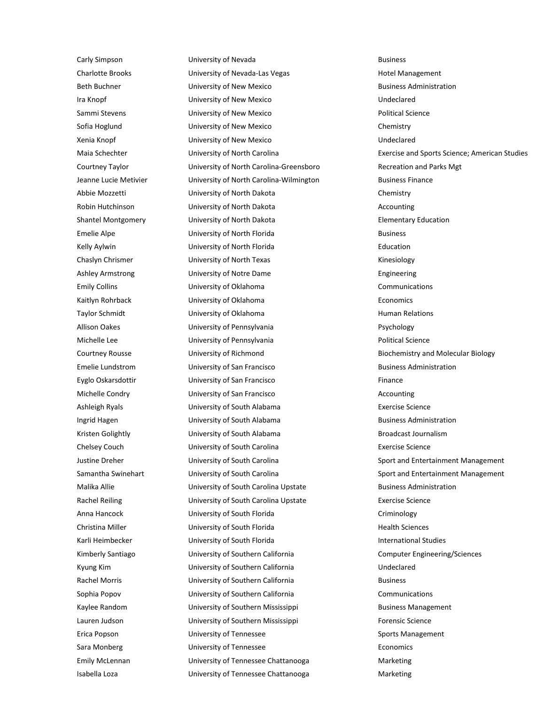Carly Simpson **Example 3** University of Nevada **Business** Business Charlotte Brooks **Charlotte Brooks** University of Nevada-Las Vegas Hotel Management Beth Buchner **Example 3 University of New Mexico** Business Administration Ira Knopf University of New Mexico Undeclared Sammi Stevens **Example 20** University of New Mexico **Political Science** Political Science Sofia Hoglund University of New Mexico Chemistry Xenia Knopf University of New Mexico Undeclared Courtney Taylor **Courtney Taylor** University of North Carolina-Greensboro **Recreation and Parks Mgt** Jeanne Lucie Metivier University of North Carolina-Wilmington Business Finance Abbie Mozzetti University of North Dakota Chemistry Robin Hutchinson **Communisty of North Dakota** Accounting Medicines Accounting Shantel Montgomery **Shantel Montgomery** University of North Dakota **Elementary Education** Emelie Alpe **Emelie Alpe** University of North Florida **Business** Business Kelly Aylwin **Education** University of North Florida **Education** Education Chaslyn Chrismer **Chaslyn Chrismer** University of North Texas **Kinesiology** Kinesiology Ashley Armstrong **Engineering** University of Notre Dame **Engineering** Engineering Emily Collins University of Oklahoma Communications Kaitlyn Rohrback **Example 20** University of Oklahoma **Example 20 Except Economics** Taylor Schmidt **Example 20** University of Oklahoma **Human Relations** Human Relations Allison Oakes **Constructs** University of Pennsylvania **Property of Parameters** Psychology Michelle Lee **Exercise Science** University of Pennsylvania **Political Science** Political Science Courtney Rousse **Example 2** University of Richmond **Biochemistry and Molecular Biology** Emelie Lundstrom **Emelie Lundstrom** University of San Francisco **Business Administration** Eyglo Oskarsdottir **Example 20 University of San Francisco** Finance Finance Michelle Condry University of San Francisco Accounting Ashleigh Ryals **Exercise** Science University of South Alabama **Exercise** Science Ingrid Hagen **Internal Communistry of South Alabama** Business Administration Kristen Golightly **Markow Colling Controls University of South Alabama** Broadcast Journalism Chelsey Couch University of South Carolina Exercise Science Malika Allie **Malika Allie** University of South Carolina Upstate Business Administration Rachel Reiling **Exercise** Science University of South Carolina Upstate **Exercise** Exercise Science Anna Hancock **Cannet Containers** University of South Florida Criminology Criminology Christina Miller **Nights University of South Florida** Health Sciences Health Sciences Karli Heimbecker **International Studies** University of South Florida **International Studies** International Studies Kimberly Santiago **Marking Computer Strategies** University of Southern California **Computer Engineering/Sciences** Kyung Kim **University of Southern California** Chronic Mundeclared Rachel Morris **Example 20 Initially University of Southern California** Business Business Sophia Popov University of Southern California Communications Kaylee Random **Business Wandow** University of Southern Mississippi **Business Management** Lauren Judson **Example 3 University of Southern Mississippi** Forensic Science Erica Popson University of Tennessee Sports Management Sara Monberg **Example 20** University of Tennessee **Example 20** Economics Emily McLennan University of Tennessee Chattanooga Marketing Isabella Loza University of Tennessee Chattanooga Marketing

Maia Schechter **Exercise and Sports Science**; American Studies Culture Controllerism Current Carolina Exercise and Sports Science; American Studies Justine Dreher **Sport and Entertainment Management** University of South Carolina Sport Sport and Entertainment Management Samantha Swinehart **Subset University of South Carolina** Sport and Entertainment Management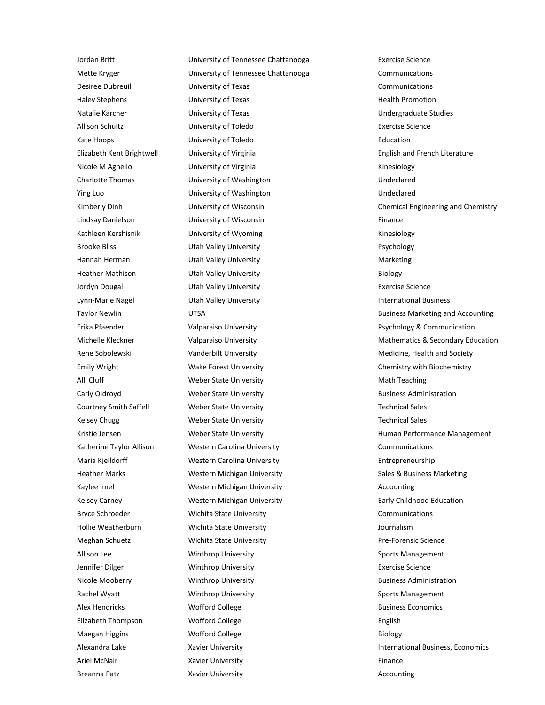Jordan Britt University of Tennessee Chattanooga Exercise Science Mette Kryger University of Tennessee Chattanooga Communications Desiree Dubreuil University of Texas Communications Haley Stephens **Example 20** University of Texas **Health Promotion** Health Promotion Natalie Karcher University of Texas Undergraduate Studies Allison Schultz University of Toledo Exercise Science Kate Hoops **Education** University of Toledo **Education** Education Nicole M Agnello **Nicolar Contract University of Virginia** Kinesiology **Kinesiology** Charlotte Thomas **University of Washington Unanel Structure Charlotte Thomas** Undeclared Ying Luo University of Washington Undeclared Lindsay Danielson University of Wisconsin Finance Kathleen Kershisnik **Witter University of Wyoming** Kinesiology **Kinesiology** Brooke Bliss **Brooke Bliss** Utah Valley University **Prophetic Prophetic Prophetic Prophetic** Psychology Hannah Herman **Marketing** Utah Valley University **Marketing** Marketing Heather Mathison Utah Valley University Biology Jordyn Dougal Utah Valley University Exercise Science Lynn-Marie Nagel **International Business** Utah Valley University **International Business** International Business Emily Wright **Wake Forest University Chemistry Chemistry with Biochemistry** Chemistry with Biochemistry Alli Cluff **Math Teaching** Weber State University **Math Teaching** Math Teaching Carly Oldroyd **Example 20 Weber State University Business Administration** Business Administration Courtney Smith Saffell **Weber State University** Technical Sales Kelsey Chugg Technical Sales Weber State University Technical Sales Technical Sales Katherine Taylor Allison **Western Carolina University** Communications Communications Maria Kjelldorff **Western Carolina University Entrepreneurship** Entrepreneurship Heather Marks **Mestern Michigan University** Sales & Business Marketing **Marketing** Kaylee Imel **Western Michigan University Accounting** Accounting Kelsey Carney **Western Michigan University Early Childhood Education Early Childhood Education** Bryce Schroeder **Communications** Wichita State University **Communications** Communications Hollie Weatherburn Wichita State University Journalism Meghan Schuetz Wichita State University Pre-Forensic Science Allison Lee **Source Community Community** Winthrop University **Sports Management** Sports Management Jennifer Dilger Winthrop University Exercise Science Nicole Mooberry **Nicole Mooberry Research Administration** Business Administration Rachel Wyatt **Sports Management** Winthrop University **Sports Management** Sports Management Alex Hendricks **Mothers Alex Economics** Worfford College **Business Economics** Business Economics Elizabeth Thompson **English** Wofford College **English** English Maegan Higgins **Example 20** Worfford College **Biology** Biology Ariel McNair **Example 2018** Xavier University **Finance 2018** Finance

Elizabeth Kent Brightwell University of Virginia English and French Literature Kimberly Dinh **University of Wisconsin** Chemical Engineering and Chemistry Chemical Engineering and Chemistry Taylor Newlin **Example 2008** UTSA Business Marketing and Accounting Erika Pfaender **Product Communication** Valparaiso University **Product Parameter Psychology & Communication** Michelle Kleckner **Michelle Kleckner** Valparaiso University **Mathematics & Secondary Education** Rene Sobolewski **Vanderbilt University** Medicine, Health and Society Kristie Jensen Tensen Weber State University The Muslim Human Performance Management Alexandra Lake **Xavier University International Business, Economics International Business, Economics** Breanna Patz **Xavier University Accounting** Accounting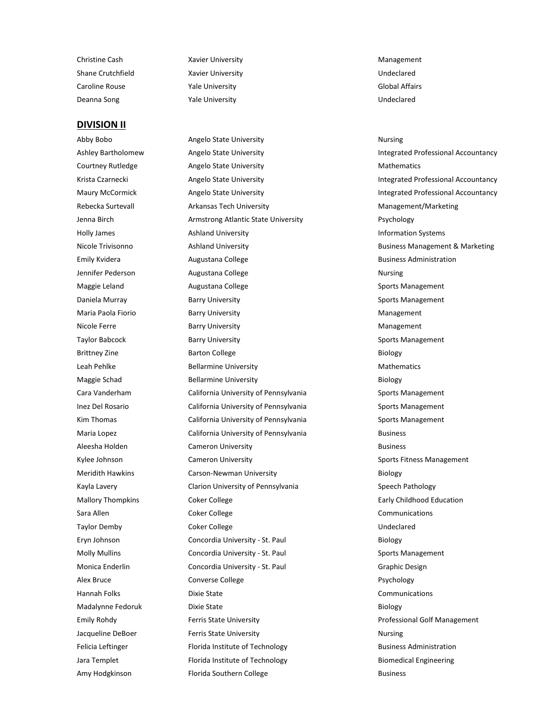Christine Cash **Xavier University** Management Management Shane Crutchfield **Xavier University National Crutch Crutchfield** Undeclared Caroline Rouse Yale University Global Affairs

#### **DIVISION II**

Deanna Song Yale University Undeclared

Abby Bobo **Angelo State University** Angelo State Nursing Mursing Ashley Bartholomew **Angelo State University Integrated Professional Accountancy Integrated Professional Accountancy** Courtney Rutledge **Angelo State University** Mathematics Mathematics Krista Czarnecki **Angelo State University Angelo State University Integrated Professional Accountancy** Maury McCormick **Angelo State University Angelo State University Integrated Professional Accountancy** Rebecka Surtevall **Arkansas Tech University** Management/Marketing Management/Marketing Jenna Birch **Armstrong Atlantic State University** Psychology Providence and Armstrong Atlantic State University Holly James **Ashland University Aximity** Information Systems **Information Systems** Nicole Trivisonno **Ashland University Business Management & Marketing Business Management & Marketing** Emily Kvidera **Augustana College Augustana College Business Administration** Jennifer Pederson **Augustana College Nursing** Nursing Maggie Leland **Augustana College Sports Management** Sports Management Daniela Murray **Barry University** Sports Management Sports Management Maria Paola Fiorio **Management** Barry University **Management** Management Nicole Ferre **Barry University** Management Management Taylor Babcock **Barry University** Barry Sports Management Brittney Zine **Barton College** Barton College **Biology** Biology Leah Pehlke **Bellarmine University** Mathematics Mathematics Maggie Schad Bellarmine University Biology Biology Cara Vanderham California University of Pennsylvania Sports Management Inez Del Rosario **California University of Pennsylvania** Sports Management Kim Thomas **Subsetsion California University of Pennsylvania** Sports Management Maria Lopez **California University of Pennsylvania** Business Business Aleesha Holden **Cameron University Cameron University Business** Business Kylee Johnson **Sports Fitness Management** Cameron University Sports Fitness Management Meridith Hawkins **Carson-Newman University Carson-Newman University Biology** Kayla Lavery **Clarion University of Pennsylvania** Speech Pathology Speech Pathology Mallory Thompkins **Coker College Early Childhood Education Early Childhood Education** Sara Allen College College Conmunications Communications Communications Communications Taylor Demby **Coker College Contained Bullet College** Undeclared Eryn Johnson Concordia University - St. Paul Biology Molly Mullins **Concordia University - St. Paul Sports Management** Sports Management Monica Enderlin Concordia University - St. Paul Graphic Design Graphic Design Alex Bruce **Converse College Converse College Psychology** Hannah Folks Dixie State Communications Madalynne Fedoruk Dixie State **Dixie State** Biology Emily Rohdy **Ferris State University From Construction** Professional Golf Management Jacqueline DeBoer **Ferris State University** The State Aursing Felicia Leftinger **Florida Institute of Technology Figure 2** Business Administration Jara Templet **Florida Institute of Technology Figure 2** Biomedical Engineering Amy Hodgkinson **Florida Southern College Amy Hodgkinson** Business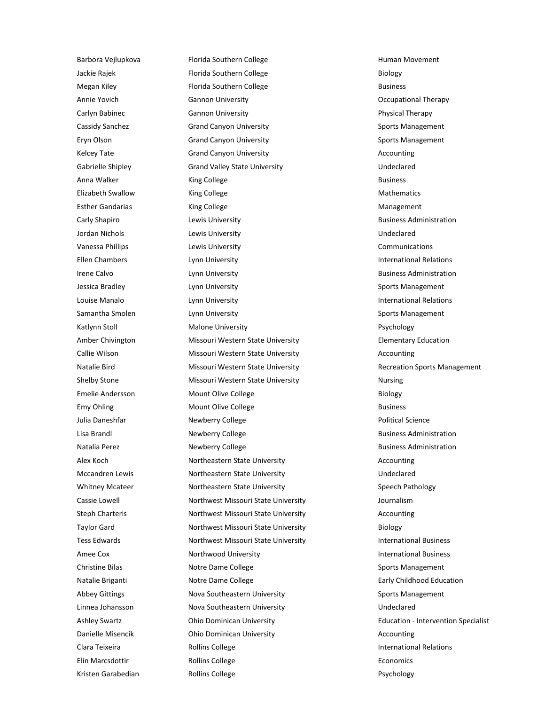Barbora Vejlupkova **Florida Southern College Human Movement** Human Movement Jackie Rajek Florida Southern College Biology Megan Kiley **Florida Southern College Florida Southern College Business** Business Annie Yovich Gannon University Occupational Therapy Carlyn Babinec **Carlyn Babinec** Gannon University **Physical Therapy** Physical Therapy Cassidy Sanchez **Grand Canyon University** Sports Management Eryn Olson Grand Canyon University Channel Canyon University Sports Management Kelcey Tate **Accounting** Grand Canyon University **Accounting** Accounting Gabrielle Shipley **Grand Valley State University** Gabrielle Shipley Undeclared Anna Walker **Business King College Business Business** Elizabeth Swallow **King College** Mathematics Mathematics Esther Gandarias **King College Management** Management Carly Shapiro **Carly Shapiro** Lewis University **Business Administration** Jordan Nichols Lewis University Undeclared Vanessa Phillips **Lewis University** Communications **Communications** Ellen Chambers **International Relations** Lynn University **International Relations** Irene Calvo **Lynn University Business Administration Business Administration** Jessica Bradley **Sports Management** Lynn University **Sports Management** Sports Management Louise Manalo **Lynn University International Relations International Relations** Samantha Smolen **Supplem Contact Contact Contact Contact Contact Contact Contact Contact Contact Contact Contact Contact Contact Contact Contact Contact Contact Contact Contact Contact Contact Contact Contact Contact Conta** Katlynn Stoll **Malone University According Malone University Psychology** Amber Chivington **Missouri Western State University Elementary Education** Callie Wilson **Missouri Western State University** Accounting Natalie Bird Missouri Western State University Recreation Sports Management Shelby Stone **Missouri Western State University** Mursing Emelie Andersson **Emelie Andersson** Mount Olive College **Biology** Biology Emy Ohling **Mount Olive College According the Business** Business Julia Daneshfar **Newberry College Newberry College Political Science** Political Science Lisa Brandl **Example 20 Newberry College Business Administration** Business Administration Natalia Perez **Newberry College Business Administration Business Administration** Alex Koch **Northeastern State University** Accounting Accounting Mccandren Lewis Northeastern State University Undeclared Whitney Mcateer **Northeastern State University** Speech Pathology Speech Pathology Cassie Lowell Northwest Missouri State University Journalism Steph Charteris **Northwest Missouri State University** Accounting Taylor Gard **Northwest Missouri State University Biology** Tess Edwards **Northwest Missouri State University Northwest Missouri State University International Business** Amee Cox **Northwood University International Business** International Business Christine Bilas **Notre Dame College Notice Band College** Sports Management Natalie Briganti **Notre Dame College Early Childhood Education Early Childhood Education** Abbey Gittings **Nova Southeastern University** Sports Management Linnea Johansson **Nova Southeastern University Noval Southeastern University Noval Southeastern University** Ashley Swartz **Ohio Dominican University Communical Education - Intervention Specialist** Danielle Misencik Ohio Dominican University Accounting Clara Teixeira **International Relations** Rollins College **International Relations International Relations** Elin Marcsdottir **Elin Marcsdottir** Rollins College **Economics** Economics Kristen Garabedian **Rollins College College Rolling** Psychology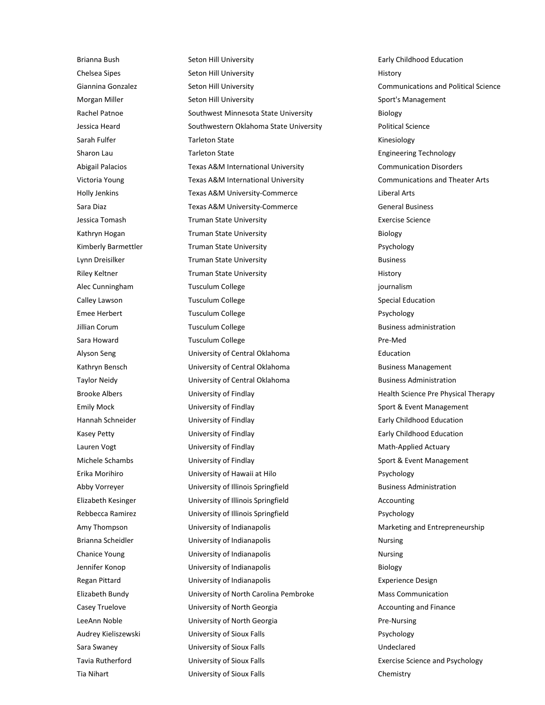Brianna Bush **Seton Hill University Seton Hill University Early Childhood Education** Chelsea Sipes Seton Hill University **Seton Hill University** History Giannina Gonzalez **Seton Hill University** Communications and Political Science Morgan Miller Seton Hill University Seton Hill University Sport's Management Rachel Patnoe **Southwest Minnesota State University** Biology Jessica Heard **Southwestern Oklahoma State University** Political Science Sarah Fulfer **State** Tarleton State **Taggium** Tarleton State Kinesiology Sharon Lau **Tarleton State Community Community** Engineering Technology Abigail Palacios Texas A&M International University Communication Disorders Victoria Young Texas A&M International University Communications and Theater Arts Holly Jenkins **Texas A&M University-Commerce** Liberal Arts Sara Diaz **TEXAS A&M University-Commerce** General Business General Business Jessica Tomash Truman State University Exercise Science Kathryn Hogan **Example 2** Truman State University **Biology** Biology Kimberly Barmettler **Truman State University Psychology** Lynn Dreisilker Truman State University Business Riley Keltner **Truman State University History** History Alec Cunningham **Tusculum College** is a controlled by the controller point of the set of the controller point of the set of the set of the set of the set of the set of the set of the set of the set of the set of the set of Calley Lawson **Tusculum College** Calley Lawson Special Education Emee Herbert **Tusculum College** Psychology **Psychology** Jillian Corum **Tusculum College Consumer College** Business administration Sara Howard **Tusculum College Pre-Med Pre-Med** Alyson Seng University of Central Oklahoma Education Kathryn Bensch **Eines University of Central Oklahoma** Business Management Taylor Neidy **State Communister Contral Oklahoma** Business Administration Brooke Albers **Example 20** University of Findlay **Health Science Pre Physical Therapy** Health Science Pre Physical Therapy Emily Mock **Sport & Event Management** University of Findlay Sport & Event Management Hannah Schneider **Early Childhood Education** University of Findlay **Early Childhood Education** Kasey Petty **Early Childhood Education** University of Findlay **Early Childhood Education** Lauren Vogt **Example 20 University of Findlay** Math-Applied Actuary Math-Applied Actuary Michele Schambs **Sport & Event Management** University of Findlay Sport & Event Management Erika Morihiro **Chamber University of Hawaii at Hilo** Psychology Psychology Abby Vorreyer **Exercise State University of Illinois Springfield** Business Administration Elizabeth Kesinger **Matter Communists** University of Illinois Springfield **Accounting** Accounting Rebbecca Ramirez **National Contract Contract University of Illinois Springfield** Psychology Amy Thompson **Entimate University of Indianapolis** Marketing and Entrepreneurship Brianna Scheidler **Nursing** University of Indianapolis **Nursing** Nursing Chanice Young **Nursill Chanice Young Chanice Young Chanice Young Chanice Young Chanice Young Chanice Young Chanice Voung Chanice Young District On the University of Indianapolis Chanice Young Nursing Chanice Structure On t** Jennifer Konop University of Indianapolis Biology Regan Pittard **Experience Design** University of Indianapolis **Experience Design** Experience Design Elizabeth Bundy University of North Carolina Pembroke Mass Communication Casey Truelove **Matter Casey Truelove** University of North Georgia **Accounting and Finance** Accounting and Finance LeeAnn Noble **Communisty of North Georgia** Pre-Nursing Pre-Nursing Audrey Kieliszewski University of Sioux Falls Psychology Sara Swaney University of Sioux Falls Undeclared Tavia Rutherford University of Sioux Falls Exercise Science and Psychology Tia Nihart University of Sioux Falls Chemistry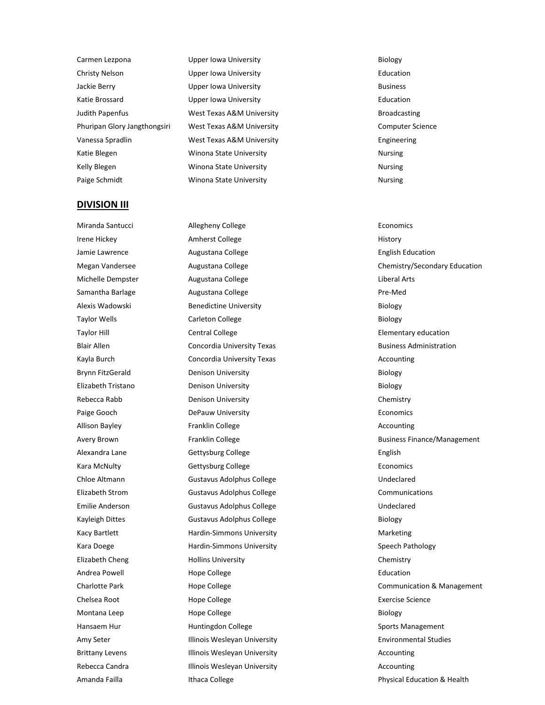Carmen Lezpona **Biology** Upper Iowa University **Biology** Biology Christy Nelson Upper Iowa University Education Jackie Berry **State Business** Upper Iowa University **Business** Business Katie Brossard Upper Iowa University Education Judith Papenfus **Mest Texas A&M University Broadcasting** Broadcasting Phuripan Glory Jangthongsiri West Texas A&M University Computer Science Vanessa Spradlin West Texas A&M University Engineering Katie Blegen **Nursing** Winona State University **Nursing** Nursing Kelly Blegen **Nursing** Winona State University **Nursing** Nursing Paige Schmidt **Nursing** Winona State University **Nursing** Nursing

#### **DIVISION III**

Miranda Santucci and Allegheny College and Allegheny College Economics Irene Hickey **Amherst College History** History **Amherst College** Jamie Lawrence **Augustana College Augustana College English Education** Michelle Dempster **Augustana College Liberal Arts** Liberal Arts Samantha Barlage **Augustana College Augustana College Pre-Med** Alexis Wadowski Benedictine University Biology Taylor Wells **Carleton College Carleton College Biology** Taylor Hill **Elementary education** Central College **Elementary education** Blair Allen **Concordia University Texas** Business Administration **Business Administration** Kayla Burch Concordia University Texas Accounting Accounting Brynn FitzGerald **Brynn EitzGerald** Denison University **Biology** Biology Elizabeth Tristano Denison University Biology Rebecca Rabb **Denison University** Chemistry Chemistry Chemistry Paige Gooch **DePauw University Example 2018** Economics Allison Bayley **Franklin College Accounting** Accounting **Accounting** Accounting Alexandra Lane Gettysburg College English English Kara McNulty **Gettysburg College Economics** Economics Chloe Altmann Gustavus Adolphus College Chloe Altmann Gustavus Adolphus College Undeclared Elizabeth Strom Gustavus Adolphus College Communications Emilie Anderson Gustavus Adolphus College Contract Contract Contract Contract Contract Contract Contract Contract Contract Contract Contract Contract Contract Contract Contract Contract Contract Contract Contract Contract Kayleigh Dittes Gustavus Adolphus College College Biology Kacy Bartlett **Marketing** Hardin-Simmons University **Marketing** Marketing Kara Doege **Hardin-Simmons University** Speech Pathology Speech Pathology Elizabeth Cheng Hollins University Chemistry Andrea Powell **Hope College Education Education** Chelsea Root **Exercise Science** Hope College **Exercise Science** Exercise Science Montana Leep **Hope College** Biology Biology Hansaem Hur **Huntingdon College** Sports Management Amy Seter **Illinois Wesleyan University Environmental Studies** Environmental Studies Brittany Levens **Illinois Wesleyan University Accounting** Accounting Rebecca Candra **Illinois Wesleyan University** Accounting Accounting

Megan Vandersee **Augustana College** Chemistry/Secondary Education College Chemistry/Secondary Education Avery Brown **Franklin College Business Finance/Management Business Finance/Management** Charlotte Park Hope College Communication & Management Amanda Failla **Ithaca College Physical Education & Health** Physical Education & Health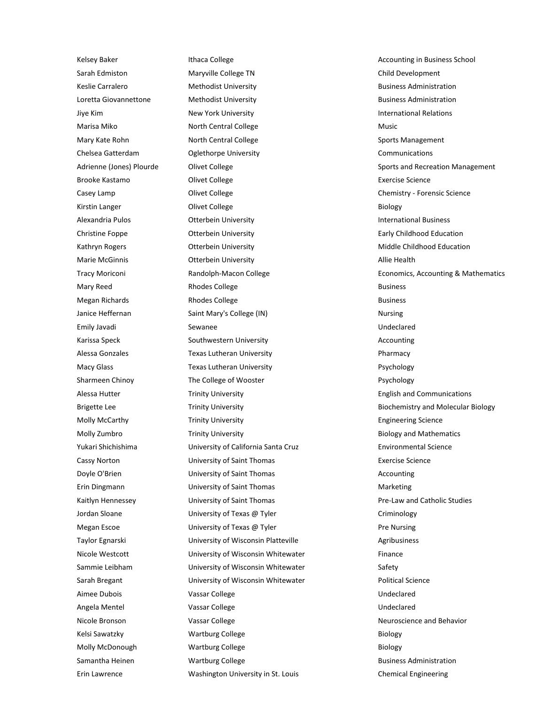Kelsey Baker **Ithaca College Accounting in Business School** College Accounting in Business School Sarah Edmiston **Maryville College TN** Child Development Keslie Carralero **Methodist University Business Administration** Business Administration Loretta Giovannettone **Methodist University Business Administration** Business Administration Jiye Kim **New York University International Relations** International Relations Marisa Miko **North Central College** Music Music Mary Kate Rohn **North Central College North Central College** Sports Management Chelsea Gatterdam Oglethorpe University Communications Brooke Kastamo **College College** Exercise Science Exercise Science Casey Lamp Olivet College Chemistry - Forensic Science Kirstin Langer **College** Biology **College** Biology **Biology** Alexandria Pulos **Otterbein University International Business** International Business Christine Foppe **Christine Fouriers** Otterbein University **Childhood Education** Early Childhood Education Kathryn Rogers **Citerbein University Middle Childhood Education** Middle Childhood Education Marie McGinnis **Canadia Access Contract Contract Contract Contract Contract Contract Contract Access** Allie Health Mary Reed **Rhodes College** Rhodes College **Reed** Business Megan Richards **Rhodes College Rhodes College Richards** Business Janice Heffernan **Saint Mary's College (IN)** Nursing Nursing Emily Javadi Sewanee Undeclared Karissa Speck **Southwestern University** Accounting Accounting Alessa Gonzales **Texas Lutheran University Pharmacy** Pharmacy Macy Glass **Texas Lutheran University Participal Structure Provides** Psychology Sharmeen Chinoy **The College of Wooster Chinogy** Psychology Alessa Hutter **Trinity University English and Communications English and Communications** Molly McCarthy **Trinity University Engineering Science Engineering Science** Molly Zumbro **Trinity University Trinity Biology** and Mathematics **Molly Zumbro** Yukari Shichishima University of California Santa Cruz Environmental Science Cassy Norton University of Saint Thomas Exercise Science Doyle O'Brien **Communisty of Saint Thomas** Communisty of Saint Thomas Accounting Erin Dingmann **Marketing** University of Saint Thomas **Marketing** Marketing Kaitlyn Hennessey **State University of Saint Thomas** Pre-Law and Catholic Studies Jordan Sloane **Calculation Contract Criminology** University of Texas @ Tyler Criminology Megan Escoe **Communisty of Texas @ Tyler** Pre Nursing Pre Nursing Taylor Egnarski **Egnarski** University of Wisconsin Platteville **Agribusiness** Nicole Westcott **Micole Wisconsin Whitewater** Finance Sammie Leibham **Sammie Leibham** University of Wisconsin Whitewater Safety Sarah Bregant **Example 20 University of Wisconsin Whitewater** Political Science Aimee Dubois **Vassar College College** College College College College College College College College College College College College College College College College College College College College College College College Angela Mentel **Vassar College** Vassar College Vassar College Vassar College Vassar Vassar Vassar Vassar Vassar Va Nicole Bronson **Nicole Bronson** Vassar College Neuroscience and Behavior Kelsi Sawatzky **Martburg College** Biology Biology Biology Molly McDonough **Wartburg College College Richarge Biology** Biology Samantha Heinen **Martburg College Business Administration** Business Administration Erin Lawrence Washington University in St. Louis Chemical Engineering

Adrienne (Jones) Plourde **Olivet College Sports and Recreation Management** Sports and Recreation Management Tracy Moriconi **Randolph-Macon College Economics, Accounting & Mathematics Economics**, Accounting & Mathematics Brigette Lee **Trinity University Biochemistry and Molecular Biology Biochemistry and Molecular Biology**